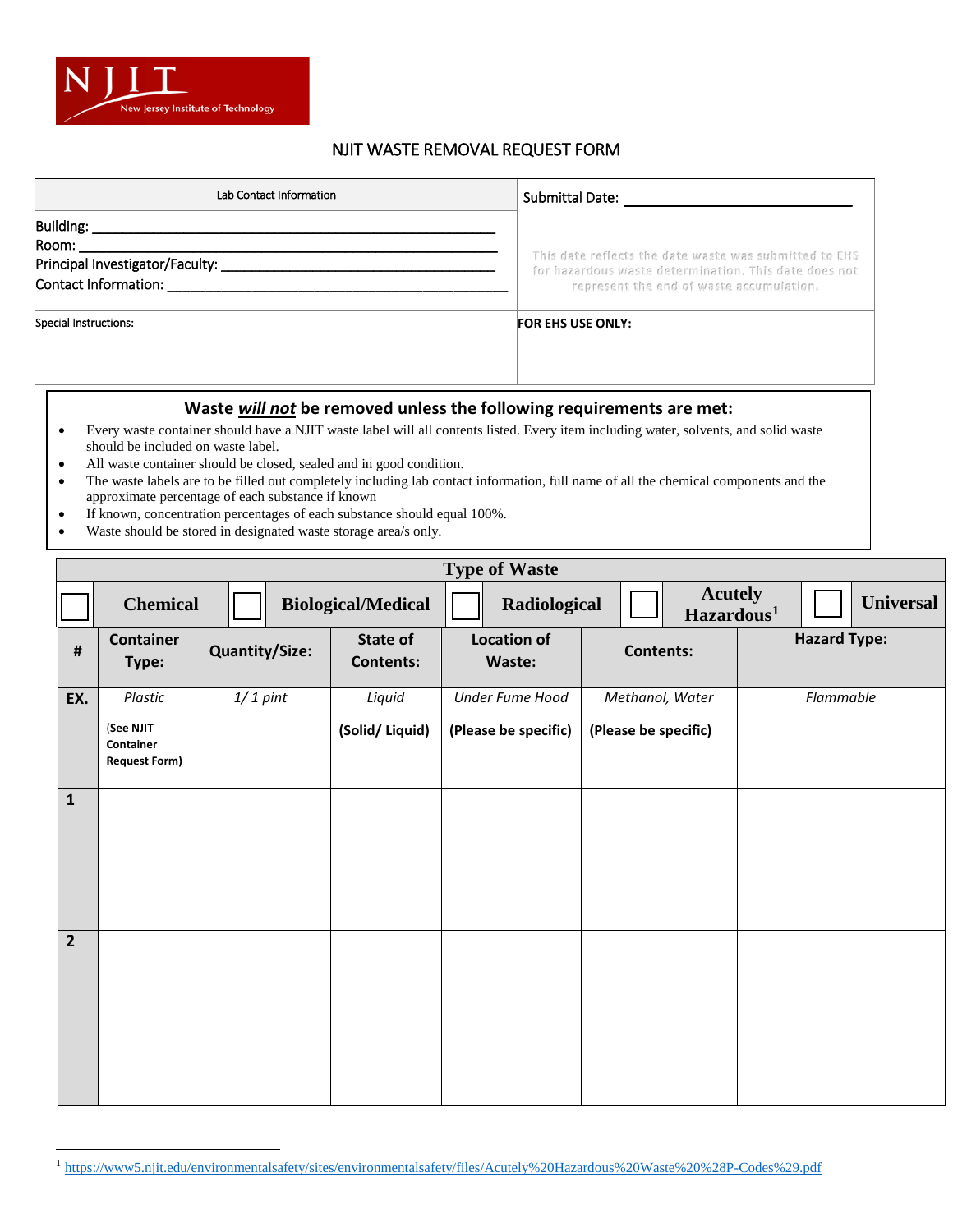

## NJIT WASTE REMOVAL REQUEST FORM

| Lab Contact Information                                                                                                                                                                                                                                                                                                                                                                   | Submittal Date: North Submittal                                                                                 |  |  |  |  |
|-------------------------------------------------------------------------------------------------------------------------------------------------------------------------------------------------------------------------------------------------------------------------------------------------------------------------------------------------------------------------------------------|-----------------------------------------------------------------------------------------------------------------|--|--|--|--|
| Building: <b>Example 2014</b>                                                                                                                                                                                                                                                                                                                                                             |                                                                                                                 |  |  |  |  |
| Room:                                                                                                                                                                                                                                                                                                                                                                                     |                                                                                                                 |  |  |  |  |
|                                                                                                                                                                                                                                                                                                                                                                                           | This date reflects the date waste was submitted to EHS<br>for hazardous waste determination. This date does not |  |  |  |  |
|                                                                                                                                                                                                                                                                                                                                                                                           | represent the end of waste accumulation.                                                                        |  |  |  |  |
| Special Instructions:                                                                                                                                                                                                                                                                                                                                                                     | <b>FOR EHS USE ONLY:</b>                                                                                        |  |  |  |  |
|                                                                                                                                                                                                                                                                                                                                                                                           | Waste will not be removed unless the following requirements are met:                                            |  |  |  |  |
| Every waste container should have a NJIT waste label will all contents listed. Every item including water, solvents, and solid waste<br>should be included on waste label.<br>All waste container should be closed, sealed and in good condition.<br>The wests labels are to be filled out completely including leb contact information, full name of all the chamical components and the |                                                                                                                 |  |  |  |  |

- The waste labels are to be filled out completely including lab contact information, full name of all the chemical components and the approximate percentage of each substance if known
- If known, concentration percentages of each substance should equal 100%.
- Waste should be stored in designated waste storage area/s only.

|                | <b>Type of Waste</b>                                      |                       |                              |                                         |                                          |                     |  |  |
|----------------|-----------------------------------------------------------|-----------------------|------------------------------|-----------------------------------------|------------------------------------------|---------------------|--|--|
|                | <b>Chemical</b>                                           |                       | <b>Biological/Medical</b>    | Radiological                            | <b>Acutely</b><br>Hazardous <sup>1</sup> | <b>Universal</b>    |  |  |
| #              | <b>Container</b><br>Type:                                 | <b>Quantity/Size:</b> | State of<br><b>Contents:</b> | <b>Location of</b><br>Waste:            | <b>Contents:</b>                         | <b>Hazard Type:</b> |  |  |
| EX.            | Plastic<br>(See NJIT<br>Container<br><b>Request Form)</b> | $1/1$ pint            | Liquid<br>(Solid/Liquid)     | Under Fume Hood<br>(Please be specific) | Methanol, Water<br>(Please be specific)  | Flammable           |  |  |
| $\mathbf{1}$   |                                                           |                       |                              |                                         |                                          |                     |  |  |
| $\overline{2}$ |                                                           |                       |                              |                                         |                                          |                     |  |  |

<sup>1</sup> <https://www5.njit.edu/environmentalsafety/sites/environmentalsafety/files/Acutely%20Hazardous%20Waste%20%28P-Codes%29.pdf>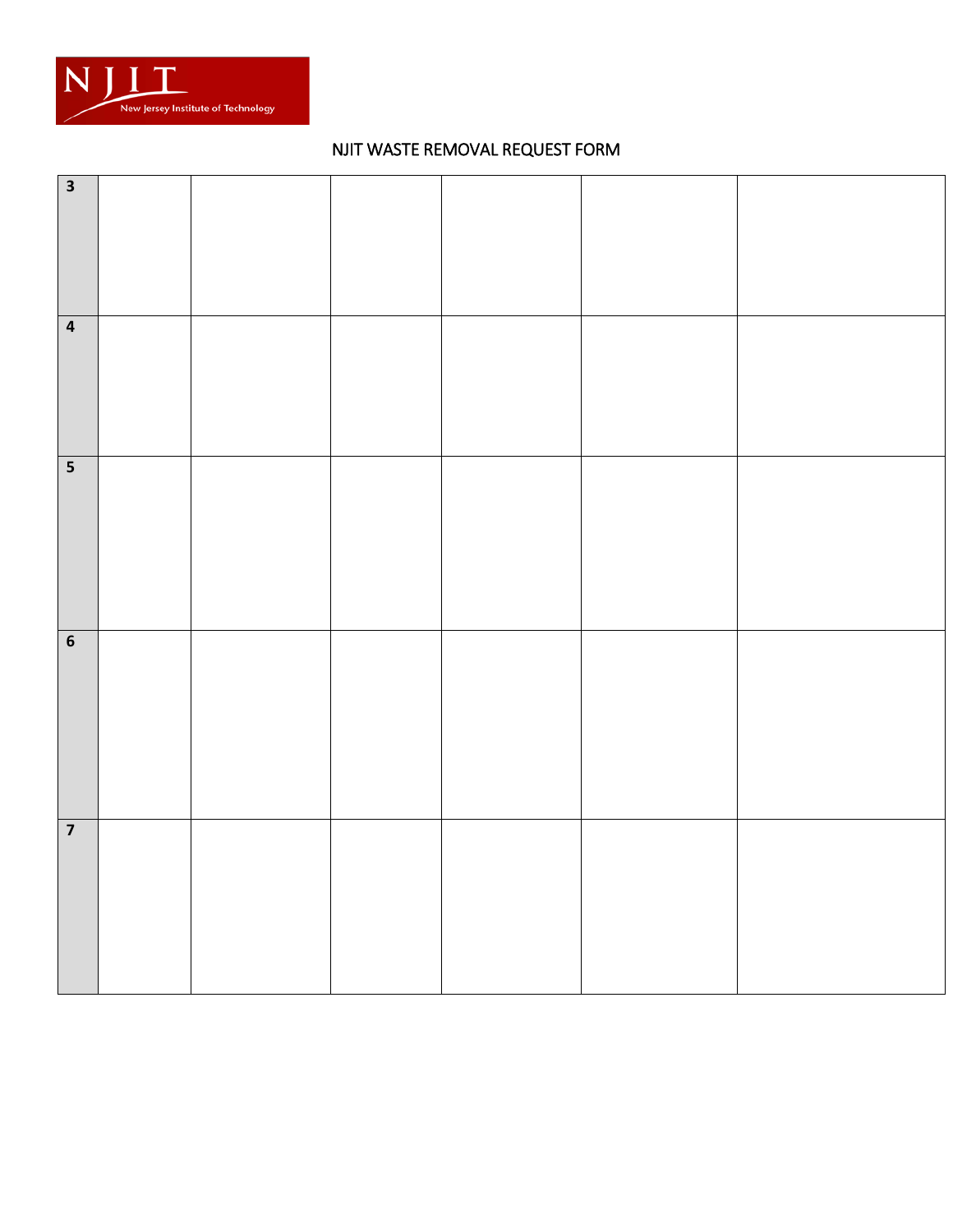

## NJIT WASTE REMOVAL REQUEST FORM

| $\overline{\mathbf{3}}$ |  |  |  |
|-------------------------|--|--|--|
| $\overline{4}$          |  |  |  |
| $\overline{\mathbf{5}}$ |  |  |  |
| $\boldsymbol{6}$        |  |  |  |
| $\overline{\mathbf{z}}$ |  |  |  |